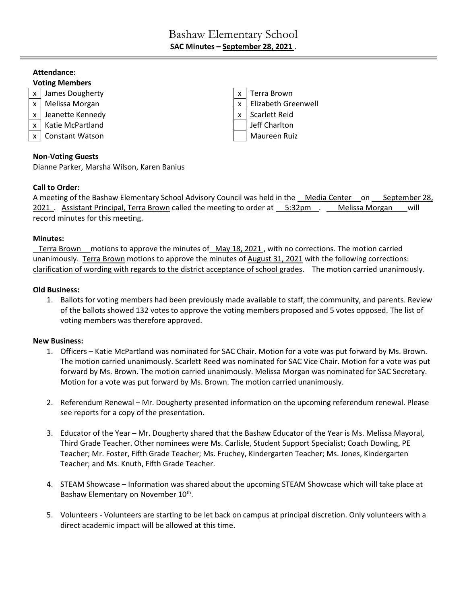# **Attendance: Voting Members** x | James Dougherty  $\vert x \vert$  Terra Brown  $x \mid$  Melissa Morgan  $x \mid x \mid$  Elizabeth Greenwell x | Jeanette Kennedy  $\vert x \vert$  Scarlett Reid x | Katie McPartland | Jeff Charlton x | Constant Watson Maureen Ruiz | Maureen Ruiz

# **Non-Voting Guests**

Dianne Parker, Marsha Wilson, Karen Banius

# **Call to Order:**

A meeting of the Bashaw Elementary School Advisory Council was held in the Media Center on September 28, 2021 . Assistant Principal, Terra Brown called the meeting to order at \_\_ 5:32pm . \_\_ Melissa Morgan \_\_ will record minutes for this meeting.

# **Minutes:**

 Terra Brown motions to approve the minutes of May 18, 2021 , with no corrections. The motion carried unanimously. Terra Brown motions to approve the minutes of August 31, 2021 with the following corrections: clarification of wording with regards to the district acceptance of school grades. The motion carried unanimously.

# **Old Business:**

1. Ballots for voting members had been previously made available to staff, the community, and parents. Review of the ballots showed 132 votes to approve the voting members proposed and 5 votes opposed. The list of voting members was therefore approved.

#### **New Business:**

- 1. Officers Katie McPartland was nominated for SAC Chair. Motion for a vote was put forward by Ms. Brown. The motion carried unanimously. Scarlett Reed was nominated for SAC Vice Chair. Motion for a vote was put forward by Ms. Brown. The motion carried unanimously. Melissa Morgan was nominated for SAC Secretary. Motion for a vote was put forward by Ms. Brown. The motion carried unanimously.
- 2. Referendum Renewal Mr. Dougherty presented information on the upcoming referendum renewal. Please see reports for a copy of the presentation.
- 3. Educator of the Year Mr. Dougherty shared that the Bashaw Educator of the Year is Ms. Melissa Mayoral, Third Grade Teacher. Other nominees were Ms. Carlisle, Student Support Specialist; Coach Dowling, PE Teacher; Mr. Foster, Fifth Grade Teacher; Ms. Fruchey, Kindergarten Teacher; Ms. Jones, Kindergarten Teacher; and Ms. Knuth, Fifth Grade Teacher.
- 4. STEAM Showcase Information was shared about the upcoming STEAM Showcase which will take place at Bashaw Elementary on November 10<sup>th</sup>.
- 5. Volunteers Volunteers are starting to be let back on campus at principal discretion. Only volunteers with a direct academic impact will be allowed at this time.